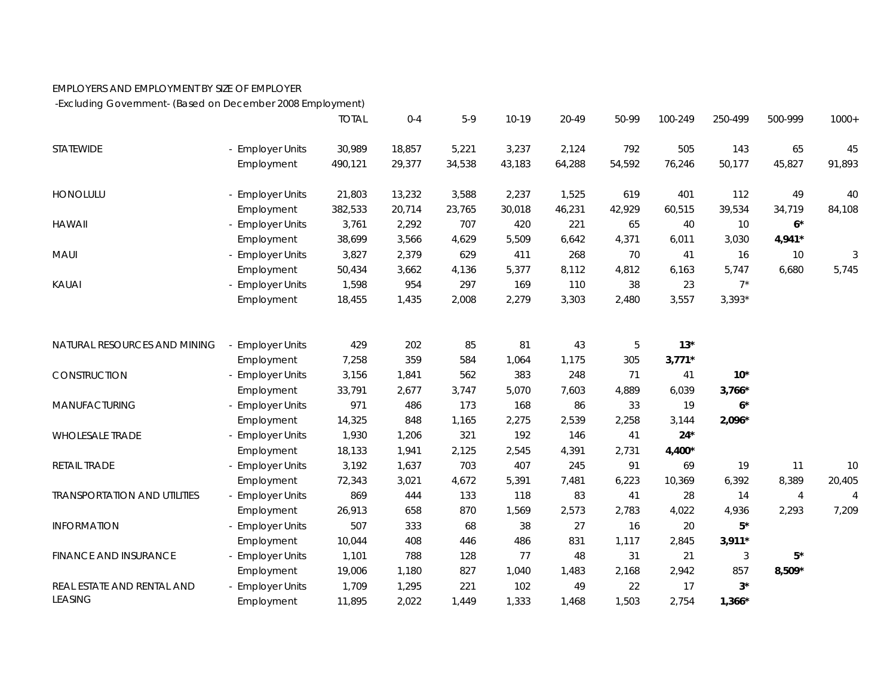## EMPLOYERS AND EMPLOYMENT BY SIZE OF EMPLOYER

-Excluding Government- (Based on December 2008 Employment)

|                                     |                       | <b>TOTAL</b> | $0 - 4$ | $5-9$  | $10-19$ | 20-49  | 50-99  | 100-249  | 250-499  | 500-999  | $1000+$        |
|-------------------------------------|-----------------------|--------------|---------|--------|---------|--------|--------|----------|----------|----------|----------------|
| STATEWIDE                           | - Employer Units      | 30,989       | 18,857  | 5,221  | 3,237   | 2,124  | 792    | 505      | 143      | 65       | 45             |
|                                     | Employment            | 490,121      | 29,377  | 34,538 | 43,183  | 64,288 | 54,592 | 76,246   | 50,177   | 45,827   | 91,893         |
| <b>HONOLULU</b>                     | - Employer Units      | 21,803       | 13,232  | 3,588  | 2,237   | 1,525  | 619    | 401      | 112      | 49       | 40             |
|                                     | Employment            | 382,533      | 20,714  | 23,765 | 30,018  | 46,231 | 42,929 | 60,515   | 39,534   | 34,719   | 84,108         |
| <b>HAWAII</b>                       | - Employer Units      | 3,761        | 2,292   | 707    | 420     | 221    | 65     | 40       | 10       | $6*$     |                |
|                                     | Employment            | 38,699       | 3,566   | 4,629  | 5,509   | 6,642  | 4,371  | 6,011    | 3,030    | 4,941*   |                |
| MAUI                                | - Employer Units      | 3,827        | 2,379   | 629    | 411     | 268    | 70     | 41       | 16       | 10       | 3              |
|                                     | Employment            | 50,434       | 3,662   | 4,136  | 5,377   | 8,112  | 4,812  | 6,163    | 5,747    | 6,680    | 5,745          |
| KAUAI                               | <b>Employer Units</b> | 1,598        | 954     | 297    | 169     | 110    | 38     | 23       | $7^*$    |          |                |
|                                     | Employment            | 18,455       | 1,435   | 2,008  | 2,279   | 3,303  | 2,480  | 3,557    | $3,393*$ |          |                |
|                                     |                       |              |         |        |         |        |        |          |          |          |                |
| NATURAL RESOURCES AND MINING        | - Employer Units      | 429          | 202     | 85     | 81      | 43     | 5      | $13*$    |          |          |                |
|                                     | Employment            | 7,258        | 359     | 584    | 1,064   | 1,175  | 305    | $3,771*$ |          |          |                |
| CONSTRUCTION                        | - Employer Units      | 3,156        | 1,841   | 562    | 383     | 248    | 71     | 41       | $10*$    |          |                |
|                                     | Employment            | 33,791       | 2,677   | 3,747  | 5,070   | 7,603  | 4,889  | 6,039    | $3,766*$ |          |                |
| MANUFACTURING                       | - Employer Units      | 971          | 486     | 173    | 168     | 86     | 33     | 19       | $6*$     |          |                |
|                                     | Employment            | 14,325       | 848     | 1,165  | 2,275   | 2,539  | 2,258  | 3,144    | 2,096*   |          |                |
| <b>WHOLESALE TRADE</b>              | - Employer Units      | 1,930        | 1,206   | 321    | 192     | 146    | 41     | $24*$    |          |          |                |
|                                     | Employment            | 18,133       | 1,941   | 2,125  | 2,545   | 4,391  | 2,731  | 4,400*   |          |          |                |
| RETAIL TRADE                        | - Employer Units      | 3,192        | 1,637   | 703    | 407     | 245    | 91     | 69       | 19       | 11       | 10             |
|                                     | Employment            | 72,343       | 3,021   | 4,672  | 5,391   | 7,481  | 6,223  | 10,369   | 6,392    | 8,389    | 20,405         |
| <b>TRANSPORTATION AND UTILITIES</b> | <b>Employer Units</b> | 869          | 444     | 133    | 118     | 83     | 41     | 28       | 14       | 4        | $\overline{4}$ |
|                                     | Employment            | 26,913       | 658     | 870    | 1,569   | 2,573  | 2,783  | 4,022    | 4,936    | 2,293    | 7,209          |
| <b>INFORMATION</b>                  | - Employer Units      | 507          | 333     | 68     | 38      | 27     | 16     | 20       | $5*$     |          |                |
|                                     | Employment            | 10,044       | 408     | 446    | 486     | 831    | 1,117  | 2,845    | $3,911*$ |          |                |
| <b>FINANCE AND INSURANCE</b>        | <b>Employer Units</b> | 1,101        | 788     | 128    | 77      | 48     | 31     | 21       | 3        | $5*$     |                |
|                                     | Employment            | 19,006       | 1,180   | 827    | 1,040   | 1,483  | 2,168  | 2,942    | 857      | $8,509*$ |                |
| REAL ESTATE AND RENTAL AND          | - Employer Units      | 1,709        | 1,295   | 221    | 102     | 49     | 22     | 17       | $3^*$    |          |                |
| <b>LEASING</b>                      | Employment            | 11,895       | 2,022   | 1,449  | 1,333   | 1,468  | 1,503  | 2,754    | $1,366*$ |          |                |